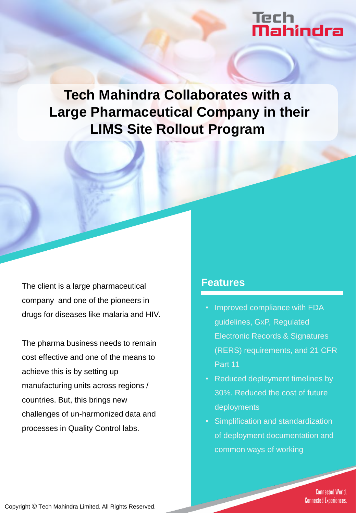# Tech<br>**Mahindra**

## **Tech Mahindra Collaborates with a Large Pharmaceutical Company in their LIMS Site Rollout Program**

The client is a large pharmaceutical company and one of the pioneers in drugs for diseases like malaria and HIV.

The pharma business needs to remain cost effective and one of the means to achieve this is by setting up manufacturing units across regions / countries. But, this brings new challenges of un-harmonized data and processes in Quality Control labs.

#### **Features**

- Improved compliance with FDA guidelines, GxP, Regulated Electronic Records & Signatures (RERS) requirements, and 21 CFR Part 11
- Reduced deployment timelines by 30%. Reduced the cost of future deployments
- Simplification and standardization of deployment documentation and common ways of working

**Connected World. Connected Experiences.** 

Copyright © Tech Mahindra Limited. All Rights Reserved.